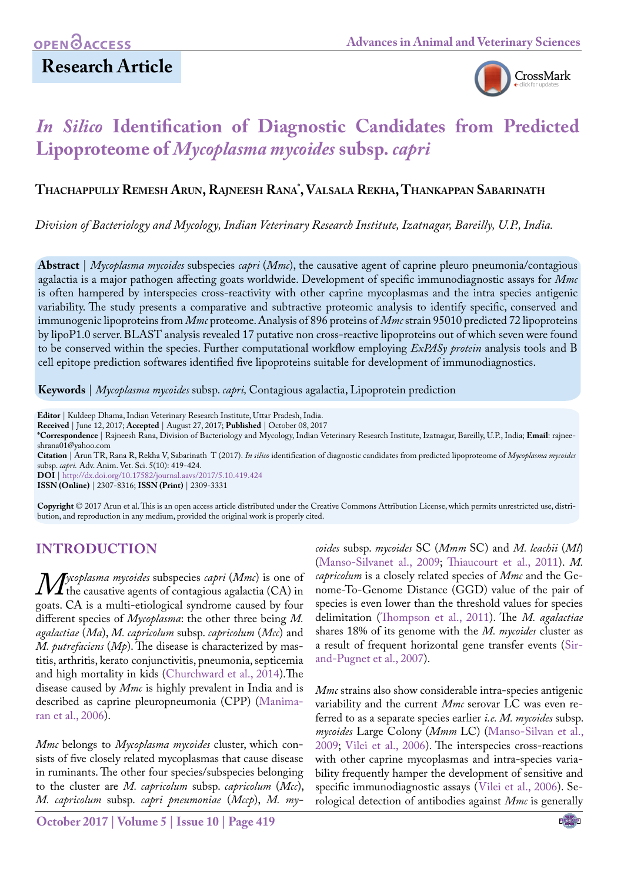# **Research Article**



# *In Silico* **Identification of Diagnostic Candidates from Predicted Lipoproteome of** *Mycoplasma mycoides* **subsp.** *capri*

## **Thachappully Remesh Arun, Rajneesh Rana\* , Valsala Rekha, Thankappan Sabarinath**

*Division of Bacteriology and Mycology, Indian Veterinary Research Institute, Izatnagar, Bareilly, U.P., India.*

**Abstract** | *Mycoplasma mycoides* subspecies *capri* (*Mmc*), the causative agent of caprine pleuro pneumonia/contagious agalactia is a major pathogen affecting goats worldwide. Development of specific immunodiagnostic assays for *Mmc*  is often hampered by interspecies cross-reactivity with other caprine mycoplasmas and the intra species antigenic variability. The study presents a comparative and subtractive proteomic analysis to identify specific, conserved and immunogenic lipoproteins from *Mmc* proteome. Analysis of 896 proteins of *Mmc* strain 95010 predicted 72 lipoproteins by lipoP1.0 server. BLAST analysis revealed 17 putative non cross-reactive lipoproteins out of which seven were found to be conserved within the species. Further computational workflow employing *ExPASy protein* analysis tools and B cell epitope prediction softwares identified five lipoproteins suitable for development of immunodiagnostics.

**Keywords** | *Mycoplasma mycoides* subsp. *capri,* Contagious agalactia, Lipoprotein prediction

**Editor** | Kuldeep Dhama, Indian Veterinary Research Institute, Uttar Pradesh, India.

**Received** | June 12, 2017; **Accepted** | August 27, 2017; **Published** | October 08, 2017

**\*Correspondence** | Rajneesh Rana, Division of Bacteriology and Mycology, Indian Veterinary Research Institute, Izatnagar, Bareilly, U.P., India; **Email**: rajneeshrana01@yahoo.com

**Citation** | Arun TR, Rana R, Rekha V, Sabarinath T (2017). *In silico* identification of diagnostic candidates from predicted lipoproteome of *Mycoplasma mycoides*  subsp. *capri.* Adv. Anim. Vet. Sci. 5(10): 419-424.

**DOI** | <http://dx.doi.org/10.17582/journal.aavs/2017/5.10.419.424>

**ISSN (Online)** | 2307-8316; **ISSN (Print)** | 2309-3331

**Copyright** © 2017 Arun et al. This is an open access article distributed under the Creative Commons Attribution License, which permits unrestricted use, distribution, and reproduction in any medium, provided the original work is properly cited.

### **INTRODUCTION**

*Mycoplasma mycoides* subspecies *capri* (*Mmc*) is one of the causative agents of contagious agalactia (CA) in goats. CA is a multi-etiological syndrome caused by four the causative agents of contagious agalactia (CA) in goats. CA is a multi-etiological syndrome caused by four different species of *Mycoplasma*: the other three being *M. agalactiae* (*Ma*), *M. capricolum* subsp. *capricolum* (*Mcc*) and *M. putrefaciens* (*Mp*). The disease is characterized by mastitis, arthritis, kerato conjunctivitis, pneumonia, septicemia and high mortality in kids (Churchward et al., 2014).The disease caused by *Mmc* is highly prevalent in India and is described as caprine pleuropneumonia (CPP) [\(Manima](#page-5-0)[ran et al., 2006](#page-5-0)).

*Mmc* belongs to *Mycoplasma mycoides* cluster, which consists of five closely related mycoplasmas that cause disease in ruminants. The other four species/subspecies belonging to the cluster are *M. capricolum* subsp. *capricolum* (*Mcc*), *M. capricolum* subsp. *capri pneumoniae* (*Mccp*), *M. my-*

*coides* subsp. *mycoides* SC (*Mmm* SC) and *M. leachii* (*Ml*) [\(Manso-Silvanet al., 2009;](#page-5-1) [Thiaucourt et al., 2011\)](#page-5-2). *M. capricolum* is a closely related species of *Mmc* and the Genome-To-Genome Distance (GGD) value of the pair of species is even lower than the threshold values for species delimitation [\(Thompson et al., 2011\)](#page-5-3). The *M. agalactiae*  shares 18% of its genome with the *M. mycoides* cluster as a result of frequent horizontal gene transfer events [\(Sir](http://www.sciencedirect.com/science/article/pii/S109002331300186X#b0345)[and-Pugnet et al., 2007](http://www.sciencedirect.com/science/article/pii/S109002331300186X#b0345)).

*Mmc* strains also show considerable intra-species antigenic variability and the current *Mmc* serovar LC was even referred to as a separate species earlier *i.e. M. mycoides* subsp. *mycoides* Large Colony (*Mmm* LC) ([Manso-Silvan et al.,](#page-5-1) [2009;](#page-5-1) [Vilei et al., 2006\)](#page-5-4). The interspecies cross-reactions with other caprine mycoplasmas and intra-species variability frequently hamper the development of sensitive and specific immunodiagnostic assays ([Vilei et al., 2006\)](#page-5-4). Serological detection of antibodies against *Mmc* is generally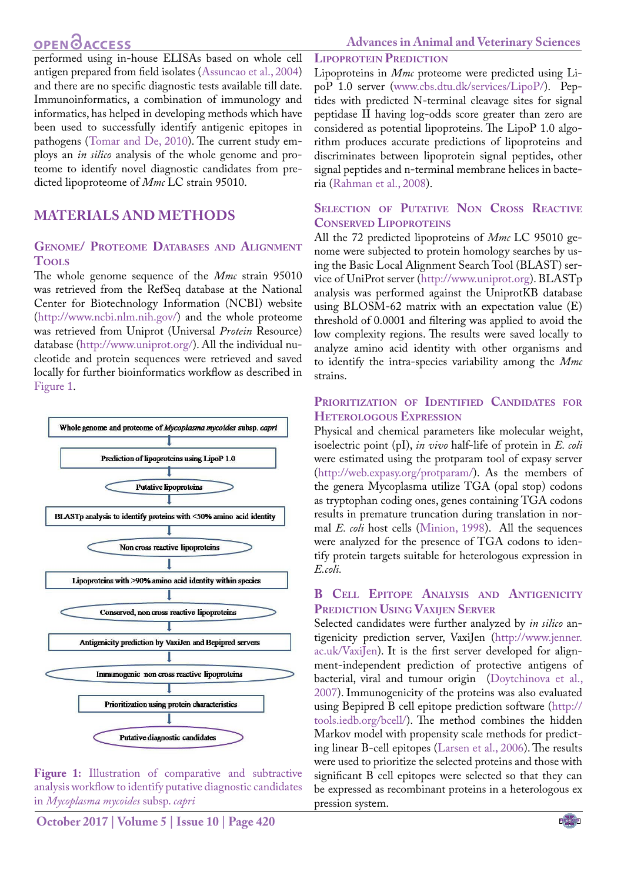### **OPEN GACCESS**

**Advances in Animal and Veterinary Sciences**

performed using in-house ELISAs based on whole cell antigen prepared from field isolates (Assuncao et al., 2004) and there are no specific diagnostic tests available till date. Immunoinformatics, a combination of immunology and informatics, has helped in developing methods which have been used to successfully identify antigenic epitopes in pathogens ([Tomar and De, 2010](#page-5-5)). The current study employs an *in silico* analysis of the whole genome and proteome to identify novel diagnostic candidates from predicted lipoproteome of *Mmc* LC strain 95010.

### **MATERIALS AND METHODS**

#### **Genome/ Proteome Databases and Alignment Tools**

The whole genome sequence of the *Mmc* strain 95010 was retrieved from the RefSeq database at the National Center for Biotechnology Information (NCBI) website [\(http://www.ncbi.nlm.nih.gov/\)](http://www.ncbi.nlm.nih.gov/) and the whole proteome was retrieved from Uniprot (Universal *Protein* Resource) database [\(http://www.uniprot.org/\)](http://www.uniprot.org/). All the individual nucleotide and protein sequences were retrieved and saved locally for further bioinformatics workflow as described in [Figure 1.](#page-1-0)



<span id="page-1-0"></span>Figure 1: Illustration of comparative and subtractive analysis workflow to identify putative diagnostic candidates in *Mycoplasma mycoides* subsp. *capri*

**October 2017 | Volume 5 | Issue 10 | Page 420**

**Lipoprotein Prediction**

Lipoproteins in *Mmc* proteome were predicted using LipoP 1.0 server (<www.cbs.dtu.dk/services/LipoP/>). Peptides with predicted N-terminal cleavage sites for signal peptidase II having log-odds score greater than zero are considered as potential lipoproteins. The LipoP 1.0 algorithm produces accurate predictions of lipoproteins and discriminates between lipoprotein signal peptides, other signal peptides and n-terminal membrane helices in bacteria ([Rahman et al., 2008](#page-5-6)).

#### **Selection of Putative Non Cross Reactive Conserved Lipoproteins**

All the 72 predicted lipoproteins of *Mmc* LC 95010 genome were subjected to protein homology searches by using the Basic Local Alignment Search Tool (BLAST) service of UniProt server (<http://www.uniprot.org>). BLASTp analysis was performed against the UniprotKB database using BLOSM-62 matrix with an expectation value (E) threshold of 0.0001 and filtering was applied to avoid the low complexity regions. The results were saved locally to analyze amino acid identity with other organisms and to identify the intra-species variability among the *Mmc* strains.

#### **Prioritization of Identified Candidates for Heterologous Expression**

Physical and chemical parameters like molecular weight, isoelectric point (pI), *in vivo* half-life of protein in *E. coli* were estimated using the protparam tool of expasy server [\(http://web.expasy.org/protparam/](http://web.expasy.org/protparam/)). As the members of the genera Mycoplasma utilize TGA (opal stop) codons as tryptophan coding ones, genes containing TGA codons results in premature truncation during translation in normal *E. coli* host cells ([Minion, 1998](#page-5-7)). All the sequences were analyzed for the presence of TGA codons to identify protein targets suitable for heterologous expression in *E.coli.*

#### **B Cell Epitope Analysis and Antigenicity Prediction Using Vaxijen Server**

Selected candidates were further analyzed by *in silico* antigenicity prediction server, VaxiJen [\(http://www.jenner.](http://www.jenner.ac.uk/VaxiJen) [ac.uk/VaxiJen](http://www.jenner.ac.uk/VaxiJen)). It is the first server developed for alignment-independent prediction of protective antigens of bacterial, viral and tumour origin ([Doytchinova et al.,](#page-5-8)  [2007\)](#page-5-8). Immunogenicity of the proteins was also evaluated using Bepipred B cell epitope prediction software ([http://](http://tools.iedb.org/bcell/) [tools.iedb.org/bcell/\)](http://tools.iedb.org/bcell/). The method combines the hidden Markov model with propensity scale methods for predicting linear B-cell epitopes ([Larsen et al., 2006\)](#page-5-9). The results were used to prioritize the selected proteins and those with significant B cell epitopes were selected so that they can be expressed as recombinant proteins in a heterologous ex pression system.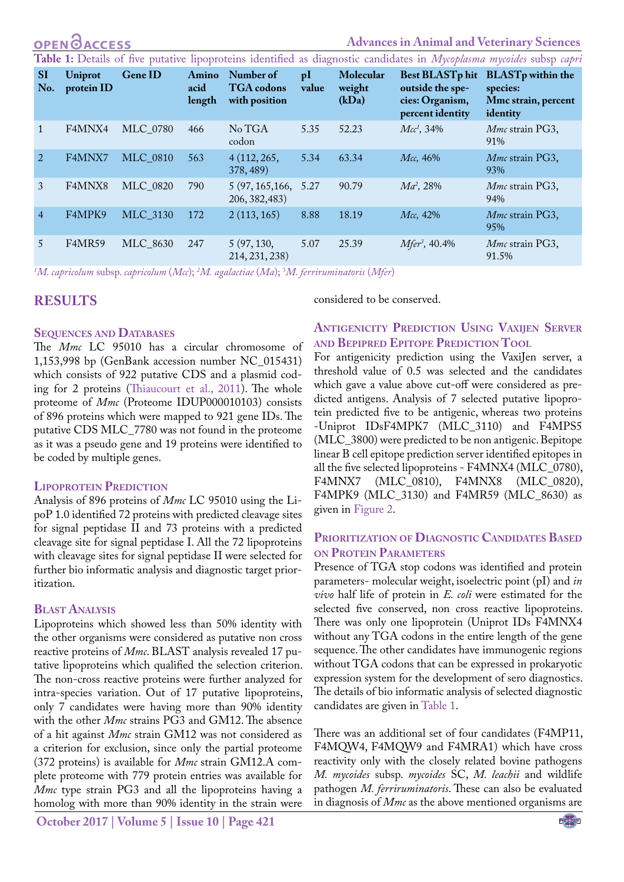<span id="page-2-0"></span>**Table 1:** Details of five putative lipoproteins identified as diagnostic candidates in *Mycoplasma mycoides* subsp *capri*

| <b>SI</b><br>No. | <b>Uniprot</b><br>protein ID | Gene ID         | Amino<br>acid<br>length | Number of<br><b>TGA</b> codons<br>with position | pI<br>value | Molecular<br>weight<br>(kDa) | outside the spe-<br>cies: Organism,<br>percent identity | Best BLASTp hit BLASTp within the<br>species:<br>Mmc strain, percent<br>identity |
|------------------|------------------------------|-----------------|-------------------------|-------------------------------------------------|-------------|------------------------------|---------------------------------------------------------|----------------------------------------------------------------------------------|
|                  | F4MNX4                       | <b>MLC 0780</b> | 466                     | No TGA<br>codon                                 | 5.35        | 52.23                        | $Mcc^1$ , 34%                                           | <i>Mmc</i> strain PG3,<br>91%                                                    |
| 2                | F4MNX7                       | <b>MLC 0810</b> | 563                     | 4(112, 265,<br>378, 489)                        | 5.34        | 63.34                        | Mcc, 46%                                                | <i>Mmc</i> strain PG3,<br>93%                                                    |
| 3                | F4MNX8                       | <b>MLC 0820</b> | 790                     | 5 (97, 165, 166, 5.27)<br>206, 382, 483)        |             | 90.79                        | $Ma^2$ , 28%                                            | <i>Mmc</i> strain PG3,<br>94%                                                    |
| $\overline{4}$   | F4MPK9                       | <b>MLC 3130</b> | 172                     | 2(113, 165)                                     | 8.88        | 18.19                        | Mcc, 42%                                                | <i>Mmc</i> strain PG3,<br>95%                                                    |
| 5                | <b>F4MR59</b>                | <b>MLC 8630</b> | 247                     | 5(97, 130,<br>214, 231, 238)                    | 5.07        | 25.39                        | $M \ell r^3$ , 40.4%                                    | <i>Mmc</i> strain PG3,<br>91.5%                                                  |

*1 M. capricolum* subsp. *capricolum* (*Mcc*); *<sup>2</sup> M. agalactiae* (*Ma*); 3 *M. ferriruminatoris* (*Mfer*)

#### **RESULTS**

#### **Sequences and Databases**

The *Mmc* LC 95010 has a circular chromosome of 1,153,998 bp (GenBank accession number NC\_015431) which consists of 922 putative CDS and a plasmid coding for 2 proteins [\(Thiaucourt et al., 2011\)](#page-5-2). The whole proteome of *Mmc* (Proteome IDUP000010103) consists of 896 proteins which were mapped to 921 gene IDs. The putative CDS MLC\_7780 was not found in the proteome as it was a pseudo gene and 19 proteins were identified to be coded by multiple genes.

#### **Lipoprotein Prediction**

Analysis of 896 proteins of *Mmc* LC 95010 using the LipoP 1.0 identified 72 proteins with predicted cleavage sites for signal peptidase II and 73 proteins with a predicted cleavage site for signal peptidase I. All the 72 lipoproteins with cleavage sites for signal peptidase II were selected for further bio informatic analysis and diagnostic target prioritization.

#### **Blast Analysis**

Lipoproteins which showed less than 50% identity with the other organisms were considered as putative non cross reactive proteins of *Mmc*. BLAST analysis revealed 17 putative lipoproteins which qualified the selection criterion. The non-cross reactive proteins were further analyzed for intra-species variation. Out of 17 putative lipoproteins, only 7 candidates were having more than 90% identity with the other *Mmc* strains PG3 and GM12. The absence of a hit against *Mmc* strain GM12 was not considered as a criterion for exclusion, since only the partial proteome (372 proteins) is available for *Mmc* strain GM12.A complete proteome with 779 protein entries was available for *Mmc* type strain PG3 and all the lipoproteins having a homolog with more than 90% identity in the strain were

considered to be conserved.

#### **Antigenicity Prediction Using Vaxijen Server and Bepipred Epitope Prediction Tool**

For antigenicity prediction using the VaxiJen server, a threshold value of 0.5 was selected and the candidates which gave a value above cut-off were considered as predicted antigens. Analysis of 7 selected putative lipoprotein predicted five to be antigenic, whereas two proteins -Uniprot IDsF4MPK7 (MLC\_3110) and F4MPS5 (MLC\_3800) were predicted to be non antigenic. Bepitope linear B cell epitope prediction server identified epitopes in all the five selected lipoproteins - F4MNX4 (MLC\_0780),<br>F4MNX7 (MLC\_0810), F4MNX8 (MLC\_0820), (MLC\_0810), F4MNX8 (MLC\_0820), F4MPK9 (MLC\_3130) and F4MR59 (MLC\_8630) as given in [Figure 2.](#page-3-0)

#### **Prioritization of Diagnostic Candidates Based on Protein Parameters**

Presence of TGA stop codons was identified and protein parameters- molecular weight, isoelectric point (pI) and *in vivo* half life of protein in *E. coli* were estimated for the selected five conserved, non cross reactive lipoproteins. There was only one lipoprotein (Uniprot IDs F4MNX4 without any TGA codons in the entire length of the gene sequence. The other candidates have immunogenic regions without TGA codons that can be expressed in prokaryotic expression system for the development of sero diagnostics. The details of bio informatic analysis of selected diagnostic candidates are given in [Table 1.](#page-2-0)

There was an additional set of four candidates (F4MP11, F4MQW4, F4MQW9 and F4MRA1) which have cross reactivity only with the closely related bovine pathogens *M. mycoides* subsp. *mycoides* SC, *M. leachii* and wildlife pathogen *M. ferriruminatoris*. These can also be evaluated in diagnosis of *Mmc* as the above mentioned organisms are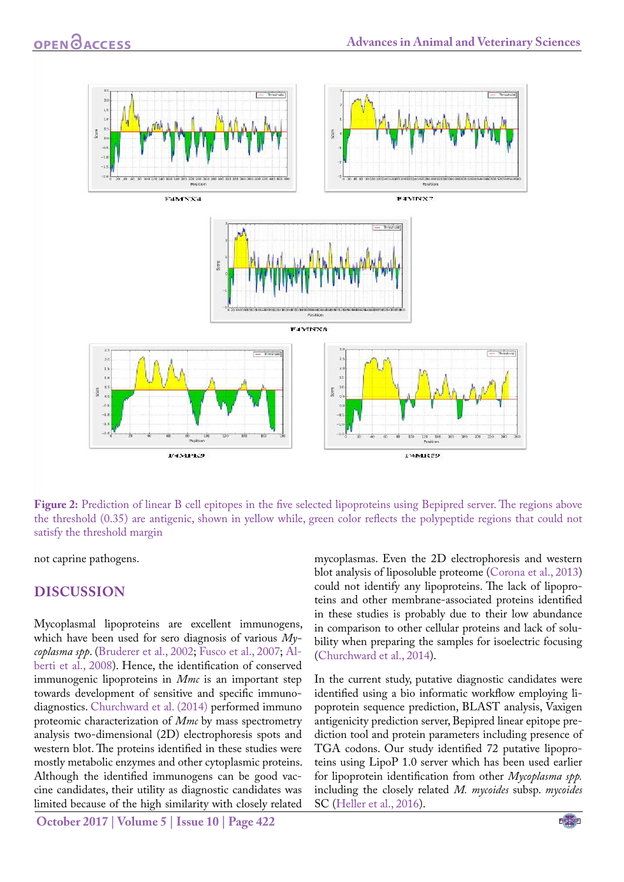

<span id="page-3-0"></span>**Figure 2:** Prediction of linear B cell epitopes in the five selected lipoproteins using Bepipred server. The regions above the threshold (0.35) are antigenic, shown in yellow while, green color reflects the polypeptide regions that could not satisfy the threshold margin

not caprine pathogens.

#### **DISCUSSION**

Mycoplasmal lipoproteins are excellent immunogens, which have been used for sero diagnosis of various *Mycoplasma spp*. ([Bruderer et al., 2002;](#page-4-0) [Fusco et al., 2007](#page-5-10); [Al](#page-4-1)[berti et al., 2008\)](#page-4-1). Hence, the identification of conserved immunogenic lipoproteins in *Mmc* is an important step towards development of sensitive and specific immunodiagnostics. Churchward et al. (2014) performed immuno proteomic characterization of *Mmc* by mass spectrometry analysis two-dimensional (2D) electrophoresis spots and western blot. The proteins identified in these studies were mostly metabolic enzymes and other cytoplasmic proteins. Although the identified immunogens can be good vaccine candidates, their utility as diagnostic candidates was limited because of the high similarity with closely related

**October 2017 | Volume 5 | Issue 10 | Page 422**

mycoplasmas. Even the 2D electrophoresis and western blot analysis of liposoluble proteome ([Corona et al., 2013](#page-5-11)) could not identify any lipoproteins. The lack of lipoproteins and other membrane-associated proteins identified in these studies is probably due to their low abundance in comparison to other cellular proteins and lack of solubility when preparing the samples for isoelectric focusing (Churchward et al., 2014).

In the current study, putative diagnostic candidates were identified using a bio informatic workflow employing lipoprotein sequence prediction, BLAST analysis, Vaxigen antigenicity prediction server, Bepipred linear epitope prediction tool and protein parameters including presence of TGA codons. Our study identified 72 putative lipoproteins using LipoP 1.0 server which has been used earlier for lipoprotein identification from other *Mycoplasma spp.* including the closely related *M. mycoides* subsp. *mycoides* SC ([Heller et al., 2016\)](#page-5-12).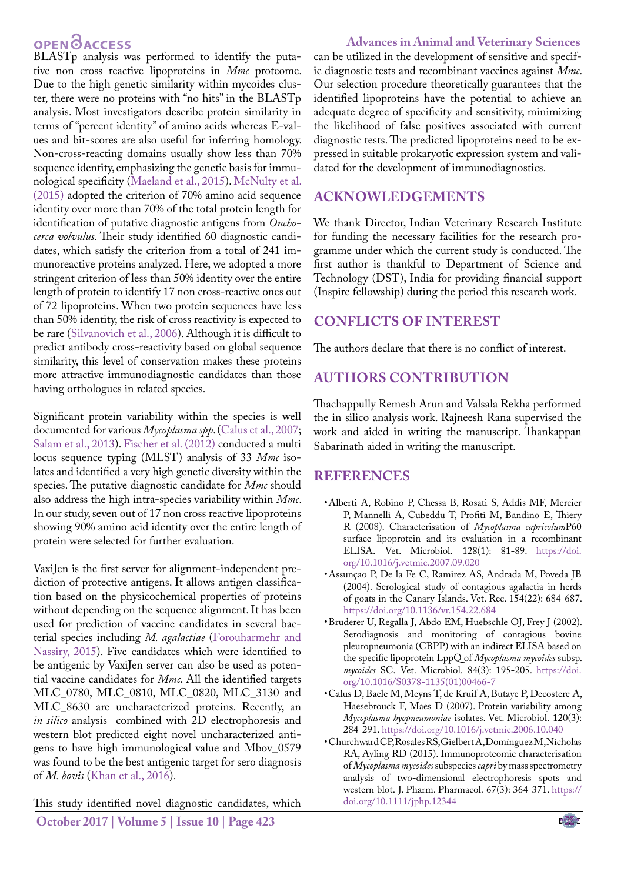# OPEN **OACCESS**

BLASTp analysis was performed to identify the putative non cross reactive lipoproteins in *Mmc* proteome. Due to the high genetic similarity within mycoides cluster, there were no proteins with "no hits" in the BLASTp analysis. Most investigators describe protein similarity in terms of "percent identity" of amino acids whereas E-values and bit-scores are also useful for inferring homology. Non-cross-reacting domains usually show less than 70% sequence identity, emphasizing the genetic basis for immunological specificity ([Maeland et al., 2015\)](#page-5-13). [McNulty et al.](#page-5-14) [\(2015\)](#page-5-14) adopted the criterion of 70% amino acid sequence identity over more than 70% of the total protein length for identification of putative diagnostic antigens from *Onchocerca volvulus*. Their study identified 60 diagnostic candidates, which satisfy the criterion from a total of 241 immunoreactive proteins analyzed. Here, we adopted a more stringent criterion of less than 50% identity over the entire length of protein to identify 17 non cross-reactive ones out of 72 lipoproteins. When two protein sequences have less than 50% identity, the risk of cross reactivity is expected to be rare ([Silvanovich et al., 2006](#page-5-15)). Although it is difficult to predict antibody cross-reactivity based on global sequence similarity, this level of conservation makes these proteins more attractive immunodiagnostic candidates than those having orthologues in related species.

Significant protein variability within the species is well documented for various *Mycoplasma spp*. ([Calus et al., 2007;](#page-4-2) [Salam et al., 2013\)](#page-5-16). [Fischer et al. \(2012\)](#page-5-17) conducted a multi locus sequence typing (MLST) analysis of 33 *Mmc* isolates and identified a very high genetic diversity within the species. The putative diagnostic candidate for *Mmc* should also address the high intra-species variability within *Mmc*. In our study, seven out of 17 non cross reactive lipoproteins showing 90% amino acid identity over the entire length of protein were selected for further evaluation.

VaxiJen is the first server for alignment-independent prediction of protective antigens. It allows antigen classification based on the physicochemical properties of proteins without depending on the sequence alignment. It has been used for prediction of vaccine candidates in several bacterial species including *M. agalactiae* [\(Forouharmehr and](#page-5-18) [Nassiry, 2015](#page-5-18)). Five candidates which were identified to be antigenic by VaxiJen server can also be used as potential vaccine candidates for *Mmc*. All the identified targets MLC\_0780, MLC\_0810, MLC\_0820, MLC\_3130 and MLC\_8630 are uncharacterized proteins. Recently, an *in silico* analysis combined with 2D electrophoresis and western blot predicted eight novel uncharacterized antigens to have high immunological value and Mbov\_0579 was found to be the best antigenic target for sero diagnosis of *M. bovis* ([Khan et al., 2016\)](#page-5-19).

This study identified novel diagnostic candidates, which

can be utilized in the development of sensitive and specific diagnostic tests and recombinant vaccines against *Mmc*. Our selection procedure theoretically guarantees that the identified lipoproteins have the potential to achieve an adequate degree of specificity and sensitivity, minimizing the likelihood of false positives associated with current diagnostic tests. The predicted lipoproteins need to be expressed in suitable prokaryotic expression system and validated for the development of immunodiagnostics.

### **ACKNOWLEDGEMENTS**

We thank Director, Indian Veterinary Research Institute for funding the necessary facilities for the research programme under which the current study is conducted. The first author is thankful to Department of Science and Technology (DST), India for providing financial support (Inspire fellowship) during the period this research work.

### **CONFLICTS OF INTEREST**

The authors declare that there is no conflict of interest.

### **authors contribution**

Thachappully Remesh Arun and Valsala Rekha performed the in silico analysis work. Rajneesh Rana supervised the work and aided in writing the manuscript. Thankappan Sabarinath aided in writing the manuscript.

### **REFERENCES**

- <span id="page-4-1"></span>• Alberti A, Robino P, Chessa B, Rosati S, Addis MF, Mercier P, Mannelli A, Cubeddu T, Profiti M, Bandino E, Thiery R (2008). Characterisation of *Mycoplasma capricolum*P60 surface lipoprotein and its evaluation in a recombinant ELISA. Vet. Microbiol. 128(1): 81-89. [https://doi.](https://doi.org/10.1016/j.vetmic.2007.09.020 ) [org/10.1016/j.vetmic.2007.09.020](https://doi.org/10.1016/j.vetmic.2007.09.020 )
- • Assunçao P, De la Fe C, Ramirez AS, Andrada M, Poveda JB (2004). Serological study of contagious agalactia in herds of goats in the Canary Islands. Vet. Rec. 154(22): 684-687. [https://doi.org/10.1136/vr.154.22.684](https://doi.org/10.1136/vr.154.22.684 )
- <span id="page-4-0"></span>• Bruderer U, Regalla J, Abdo EM, Huebschle OJ, Frey J (2002). Serodiagnosis and monitoring of contagious bovine pleuropneumonia (CBPP) with an indirect ELISA based on the specific lipoprotein LppQ of *Mycoplasma mycoides* subsp. *mycoides* SC. Vet. Microbiol. 84(3): 195-205. [https://doi.](https://doi.org/10.1016/S0378-1135(01)00466-7 ) [org/10.1016/S0378-1135\(01\)00466-7](https://doi.org/10.1016/S0378-1135(01)00466-7 )
- <span id="page-4-2"></span>• Calus D, Baele M, Meyns T, de Kruif A, Butaye P, Decostere A, Haesebrouck F, Maes D (2007). Protein variability among *Mycoplasma hyopneumoniae* isolates. Vet. Microbiol. 120(3): 284-291. [https://doi.org/10.1016/j.vetmic.2006.10.040](https://doi.org/10.1016/j.vetmic.2006.10.040 )
- • Churchward CP, Rosales RS, Gielbert A, Domínguez M, Nicholas RA, Ayling RD (2015). Immunoproteomic characterisation of *Mycoplasma mycoides* subspecies *capri* by mass spectrometry analysis of two‐dimensional electrophoresis spots and western blot. J. Pharm. Pharmacol. 67(3): 364-371. [https://](https://doi.org/10.1111/jphp.12344 ) [doi.org/10.1111/jphp.12344](https://doi.org/10.1111/jphp.12344 )